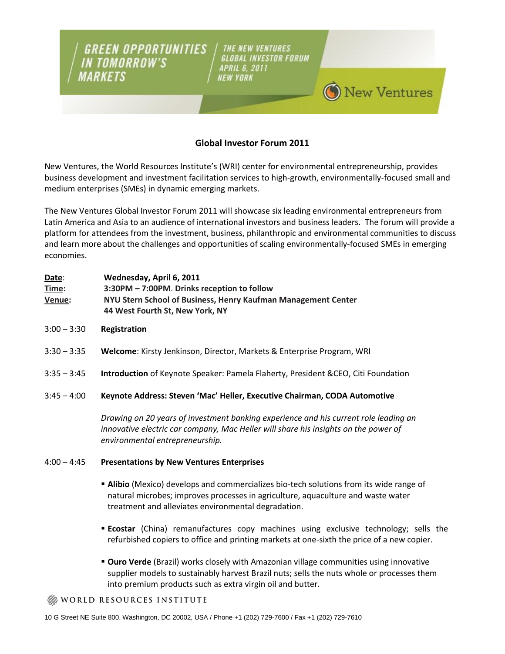**GREEN OPPORTUNITIES** THE NEW VENTURES **GLOBAL INVESTOR FORUM APRIL 6, 2011 NEW YORK** 

# **Global Investor Forum 2011**

**New Ventures** 

New Ventures, the World Resources Institute's (WRI) center for environmental entrepreneurship, provides business development and investment facilitation services to high-growth, environmentally-focused small and medium enterprises (SMEs) in dynamic emerging markets.

The New Ventures Global Investor Forum 2011 will showcase six leading environmental entrepreneurs from Latin America and Asia to an audience of international investors and business leaders. The forum will provide a platform for attendees from the investment, business, philanthropic and environmental communities to discuss and learn more about the challenges and opportunities of scaling environmentally-focused SMEs in emerging economies.

| Date:  | Wednesday, April 6, 2011                                      |
|--------|---------------------------------------------------------------|
| Time:  | 3:30PM – 7:00PM. Drinks reception to follow                   |
| Venue: | NYU Stern School of Business, Henry Kaufman Management Center |
|        | 44 West Fourth St, New York, NY                               |

3:00 – 3:30 **Registration**

**IN TOMORROW'S** 

MARKETS

- 3:30 3:35 **Welcome**: Kirsty Jenkinson, Director, Markets & Enterprise Program, WRI
- 3:35 3:45 **Introduction** of Keynote Speaker: Pamela Flaherty, President &CEO, Citi Foundation
- 3:45 4:00 **Keynote Address: Steven 'Mac' Heller, Executive Chairman, CODA Automotive**

*Drawing on 20 years of investment banking experience and his current role leading an innovative electric car company, Mac Heller will share his insights on the power of environmental entrepreneurship.* 

### 4:00 – 4:45 **Presentations by New Ventures Enterprises**

- **Alibio** (Mexico) develops and commercializes bio-tech solutions from its wide range of natural microbes; improves processes in agriculture, aquaculture and waste water treatment and alleviates environmental degradation.
- **Ecostar** (China) remanufactures copy machines using exclusive technology; sells the refurbished copiers to office and printing markets at one-sixth the price of a new copier.
- **Ouro Verde** (Brazil) works closely with Amazonian village communities using innovative supplier models to sustainably harvest Brazil nuts; sells the nuts whole or processes them into premium products such as extra virgin oil and butter.

WORLD RESOURCES INSTITUTE